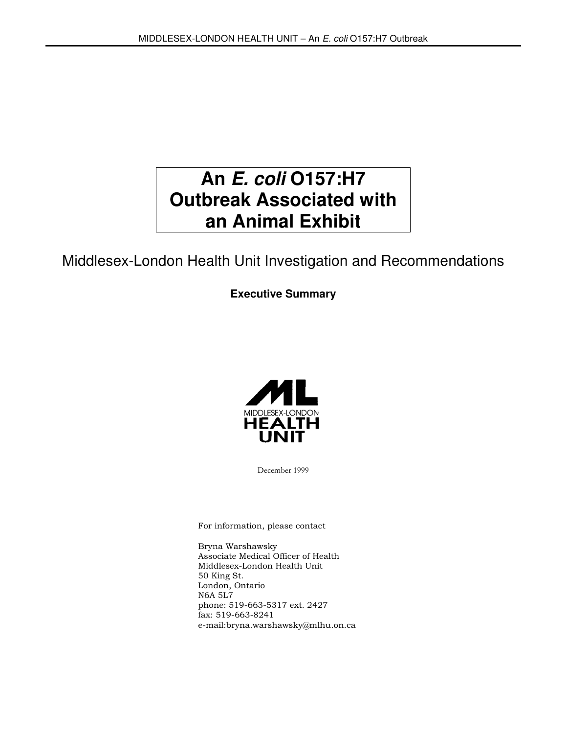# **An E. coli O157:H7 Outbreak Associated with an Animal Exhibit**

## Middlesex-London Health Unit Investigation and Recommendations

### **Executive Summary**



December 1999

For information, please contact

Bryna Warshawsky Associate Medical Officer of Health Middlesex-London Health Unit 50 King St. London, Ontario N6A 5L7 phone: 519-663-5317 ext. 2427 fax: 519-663-8241 e-mail:bryna.warshawsky@mlhu.on.ca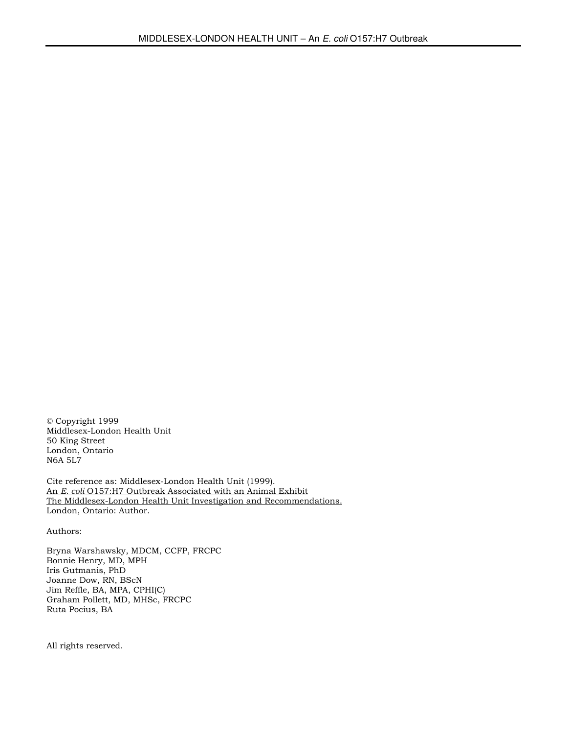© Copyright 1999 Middlesex-London Health Unit 50 King Street London, Ontario N6A 5L7

Cite reference as: Middlesex-London Health Unit (1999). An E. coli O157:H7 Outbreak Associated with an Animal Exhibit The Middlesex-London Health Unit Investigation and Recommendations. London, Ontario: Author.

Authors:

Bryna Warshawsky, MDCM, CCFP, FRCPC Bonnie Henry, MD, MPH Iris Gutmanis, PhD Joanne Dow, RN, BScN Jim Reffle, BA, MPA, CPHI(C) Graham Pollett, MD, MHSc, FRCPC Ruta Pocius, BA

All rights reserved.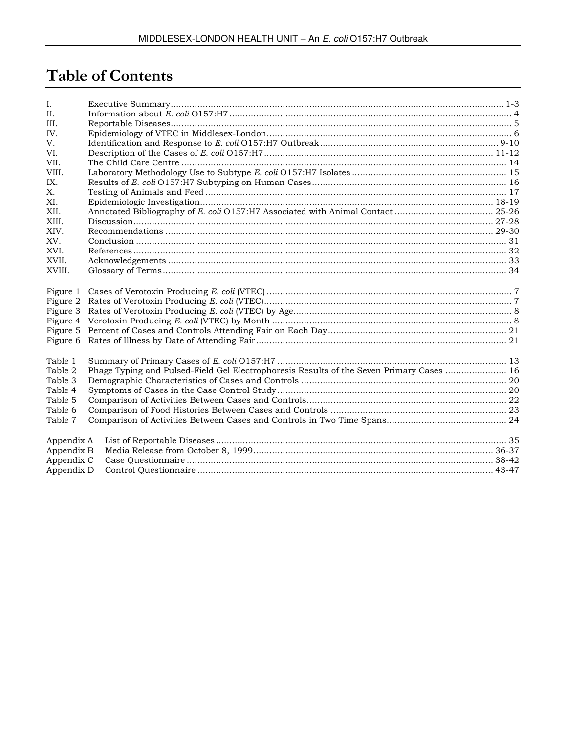# **Table of Contents**

| I.         |                                                                                          |  |
|------------|------------------------------------------------------------------------------------------|--|
| $\Pi$ .    |                                                                                          |  |
| III.       |                                                                                          |  |
| IV.        |                                                                                          |  |
| V.         |                                                                                          |  |
| VI.        |                                                                                          |  |
| VII.       |                                                                                          |  |
| VIII.      |                                                                                          |  |
| IX.        |                                                                                          |  |
| X.         |                                                                                          |  |
| XI.        |                                                                                          |  |
| XII.       |                                                                                          |  |
| XIII.      |                                                                                          |  |
| XIV.       |                                                                                          |  |
| XV.        |                                                                                          |  |
| XVI.       |                                                                                          |  |
| XVII.      |                                                                                          |  |
| XVIII.     |                                                                                          |  |
|            |                                                                                          |  |
| Figure 1   |                                                                                          |  |
| Figure 2   |                                                                                          |  |
| Figure 3   |                                                                                          |  |
|            |                                                                                          |  |
|            |                                                                                          |  |
|            |                                                                                          |  |
|            |                                                                                          |  |
| Table 1    |                                                                                          |  |
| Table 2    | Phage Typing and Pulsed-Field Gel Electrophoresis Results of the Seven Primary Cases  16 |  |
| Table 3    |                                                                                          |  |
| Table 4    |                                                                                          |  |
| Table 5    |                                                                                          |  |
| Table 6    |                                                                                          |  |
| Table 7    |                                                                                          |  |
| Appendix A |                                                                                          |  |
| Appendix B |                                                                                          |  |
| Appendix C |                                                                                          |  |
| Appendix D |                                                                                          |  |
|            |                                                                                          |  |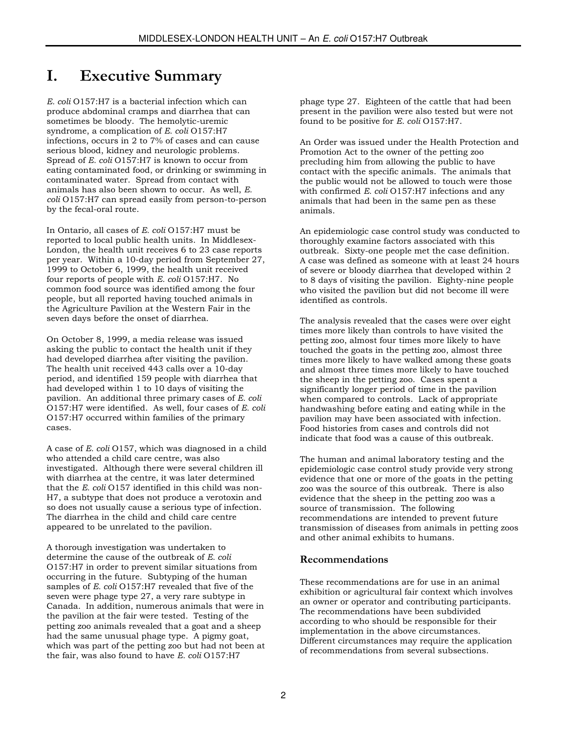### I. Executive Summary

E. coli O157:H7 is a bacterial infection which can produce abdominal cramps and diarrhea that can sometimes be bloody. The hemolytic-uremic syndrome, a complication of E. coli O157:H7 infections, occurs in 2 to 7% of cases and can cause serious blood, kidney and neurologic problems. Spread of E. coli O157:H7 is known to occur from eating contaminated food, or drinking or swimming in contaminated water. Spread from contact with animals has also been shown to occur. As well, E. coli O157:H7 can spread easily from person-to-person by the fecal-oral route.

In Ontario, all cases of E. coli O157:H7 must be reported to local public health units. In Middlesex-London, the health unit receives 6 to 23 case reports per year. Within a 10-day period from September 27, 1999 to October 6, 1999, the health unit received four reports of people with E. coli O157:H7. No common food source was identified among the four people, but all reported having touched animals in the Agriculture Pavilion at the Western Fair in the seven days before the onset of diarrhea.

On October 8, 1999, a media release was issued asking the public to contact the health unit if they had developed diarrhea after visiting the pavilion. The health unit received 443 calls over a 10-day period, and identified 159 people with diarrhea that had developed within 1 to 10 days of visiting the pavilion. An additional three primary cases of E. coli O157:H7 were identified. As well, four cases of E. coli O157:H7 occurred within families of the primary cases.

A case of E. coli O157, which was diagnosed in a child who attended a child care centre, was also investigated. Although there were several children ill with diarrhea at the centre, it was later determined that the E. coli O157 identified in this child was non-H7, a subtype that does not produce a verotoxin and so does not usually cause a serious type of infection. The diarrhea in the child and child care centre appeared to be unrelated to the pavilion.

A thorough investigation was undertaken to determine the cause of the outbreak of E. coli O157:H7 in order to prevent similar situations from occurring in the future. Subtyping of the human samples of E. coli O157:H7 revealed that five of the seven were phage type 27, a very rare subtype in Canada. In addition, numerous animals that were in the pavilion at the fair were tested. Testing of the petting zoo animals revealed that a goat and a sheep had the same unusual phage type. A pigmy goat, which was part of the petting zoo but had not been at the fair, was also found to have E. coli O157:H7

phage type 27. Eighteen of the cattle that had been present in the pavilion were also tested but were not found to be positive for E. coli O157:H7.

An Order was issued under the Health Protection and Promotion Act to the owner of the petting zoo precluding him from allowing the public to have contact with the specific animals. The animals that the public would not be allowed to touch were those with confirmed  $E$ . coli  $O157$ : H7 infections and any animals that had been in the same pen as these animals.

An epidemiologic case control study was conducted to thoroughly examine factors associated with this outbreak. Sixty-one people met the case definition. A case was defined as someone with at least 24 hours of severe or bloody diarrhea that developed within 2 to 8 days of visiting the pavilion. Eighty-nine people who visited the pavilion but did not become ill were identified as controls.

The analysis revealed that the cases were over eight times more likely than controls to have visited the petting zoo, almost four times more likely to have touched the goats in the petting zoo, almost three times more likely to have walked among these goats and almost three times more likely to have touched the sheep in the petting zoo. Cases spent a significantly longer period of time in the pavilion when compared to controls. Lack of appropriate handwashing before eating and eating while in the pavilion may have been associated with infection. Food histories from cases and controls did not indicate that food was a cause of this outbreak.

The human and animal laboratory testing and the epidemiologic case control study provide very strong evidence that one or more of the goats in the petting zoo was the source of this outbreak. There is also evidence that the sheep in the petting zoo was a source of transmission. The following recommendations are intended to prevent future transmission of diseases from animals in petting zoos and other animal exhibits to humans.

#### Recommendations

These recommendations are for use in an animal exhibition or agricultural fair context which involves an owner or operator and contributing participants. The recommendations have been subdivided according to who should be responsible for their implementation in the above circumstances. Different circumstances may require the application of recommendations from several subsections.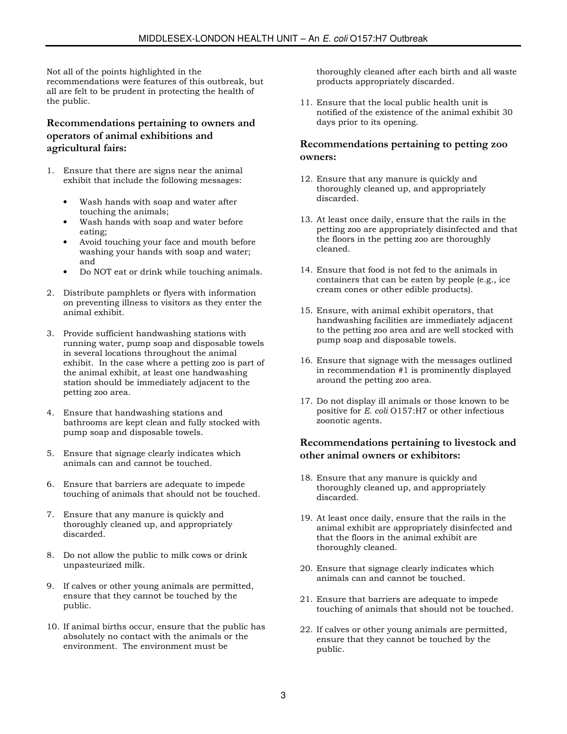Not all of the points highlighted in the recommendations were features of this outbreak, but all are felt to be prudent in protecting the health of the public.

#### Recommendations pertaining to owners and operators of animal exhibitions and agricultural fairs:

- 1. Ensure that there are signs near the animal exhibit that include the following messages:
	- Wash hands with soap and water after touching the animals;
	- Wash hands with soap and water before eating;
	- Avoid touching your face and mouth before washing your hands with soap and water; and
	- Do NOT eat or drink while touching animals.
- 2. Distribute pamphlets or flyers with information on preventing illness to visitors as they enter the animal exhibit.
- 3. Provide sufficient handwashing stations with running water, pump soap and disposable towels in several locations throughout the animal exhibit. In the case where a petting zoo is part of the animal exhibit, at least one handwashing station should be immediately adjacent to the petting zoo area.
- 4. Ensure that handwashing stations and bathrooms are kept clean and fully stocked with pump soap and disposable towels.
- 5. Ensure that signage clearly indicates which animals can and cannot be touched.
- 6. Ensure that barriers are adequate to impede touching of animals that should not be touched.
- 7. Ensure that any manure is quickly and thoroughly cleaned up, and appropriately discarded.
- 8. Do not allow the public to milk cows or drink unpasteurized milk.
- 9. If calves or other young animals are permitted, ensure that they cannot be touched by the public.
- 10. If animal births occur, ensure that the public has absolutely no contact with the animals or the environment. The environment must be

thoroughly cleaned after each birth and all waste products appropriately discarded.

11. Ensure that the local public health unit is notified of the existence of the animal exhibit 30 days prior to its opening.

#### Recommendations pertaining to petting zoo owners:

- 12. Ensure that any manure is quickly and thoroughly cleaned up, and appropriately discarded.
- 13. At least once daily, ensure that the rails in the petting zoo are appropriately disinfected and that the floors in the petting zoo are thoroughly cleaned.
- 14. Ensure that food is not fed to the animals in containers that can be eaten by people (e.g., ice cream cones or other edible products).
- 15. Ensure, with animal exhibit operators, that handwashing facilities are immediately adjacent to the petting zoo area and are well stocked with pump soap and disposable towels.
- 16. Ensure that signage with the messages outlined in recommendation #1 is prominently displayed around the petting zoo area.
- 17. Do not display ill animals or those known to be positive for E. coli O157:H7 or other infectious zoonotic agents.

#### Recommendations pertaining to livestock and other animal owners or exhibitors:

- 18. Ensure that any manure is quickly and thoroughly cleaned up, and appropriately discarded.
- 19. At least once daily, ensure that the rails in the animal exhibit are appropriately disinfected and that the floors in the animal exhibit are thoroughly cleaned.
- 20. Ensure that signage clearly indicates which animals can and cannot be touched.
- 21. Ensure that barriers are adequate to impede touching of animals that should not be touched.
- 22. If calves or other young animals are permitted, ensure that they cannot be touched by the public.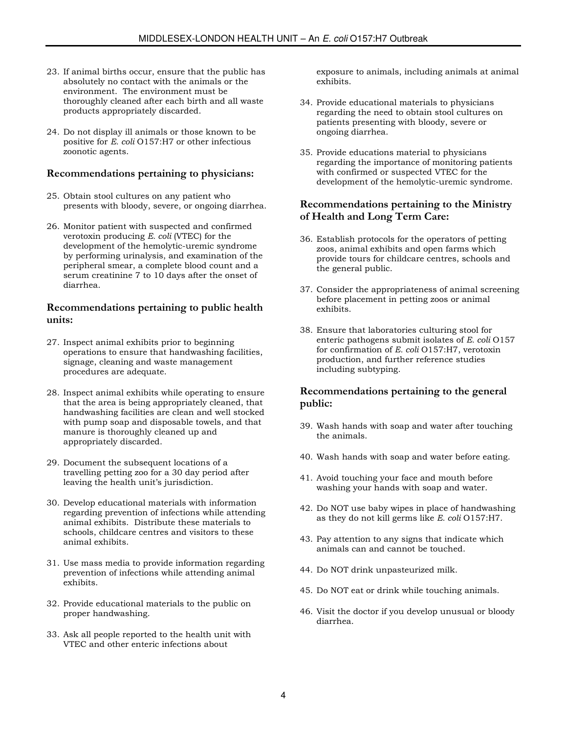- 23. If animal births occur, ensure that the public has absolutely no contact with the animals or the environment. The environment must be thoroughly cleaned after each birth and all waste products appropriately discarded.
- 24. Do not display ill animals or those known to be positive for E. coli O157:H7 or other infectious zoonotic agents.

#### Recommendations pertaining to physicians:

- 25. Obtain stool cultures on any patient who presents with bloody, severe, or ongoing diarrhea.
- 26. Monitor patient with suspected and confirmed verotoxin producing E. coli (VTEC) for the development of the hemolytic-uremic syndrome by performing urinalysis, and examination of the peripheral smear, a complete blood count and a serum creatinine 7 to 10 days after the onset of diarrhea.

#### Recommendations pertaining to public health units:

- 27. Inspect animal exhibits prior to beginning operations to ensure that handwashing facilities, signage, cleaning and waste management procedures are adequate.
- 28. Inspect animal exhibits while operating to ensure that the area is being appropriately cleaned, that handwashing facilities are clean and well stocked with pump soap and disposable towels, and that manure is thoroughly cleaned up and appropriately discarded.
- 29. Document the subsequent locations of a travelling petting zoo for a 30 day period after leaving the health unit's jurisdiction.
- 30. Develop educational materials with information regarding prevention of infections while attending animal exhibits. Distribute these materials to schools, childcare centres and visitors to these animal exhibits.
- 31. Use mass media to provide information regarding prevention of infections while attending animal exhibits.
- 32. Provide educational materials to the public on proper handwashing.
- 33. Ask all people reported to the health unit with VTEC and other enteric infections about

exposure to animals, including animals at animal exhibits.

- 34. Provide educational materials to physicians regarding the need to obtain stool cultures on patients presenting with bloody, severe or ongoing diarrhea.
- 35. Provide educations material to physicians regarding the importance of monitoring patients with confirmed or suspected VTEC for the development of the hemolytic-uremic syndrome.

#### Recommendations pertaining to the Ministry of Health and Long Term Care:

- 36. Establish protocols for the operators of petting zoos, animal exhibits and open farms which provide tours for childcare centres, schools and the general public.
- 37. Consider the appropriateness of animal screening before placement in petting zoos or animal exhibits.
- 38. Ensure that laboratories culturing stool for enteric pathogens submit isolates of E. coli O157 for confirmation of E. coli O157:H7, verotoxin production, and further reference studies including subtyping.

#### Recommendations pertaining to the general public:

- 39. Wash hands with soap and water after touching the animals.
- 40. Wash hands with soap and water before eating.
- 41. Avoid touching your face and mouth before washing your hands with soap and water.
- 42. Do NOT use baby wipes in place of handwashing as they do not kill germs like E. coli O157:H7.
- 43. Pay attention to any signs that indicate which animals can and cannot be touched.
- 44. Do NOT drink unpasteurized milk.
- 45. Do NOT eat or drink while touching animals.
- 46. Visit the doctor if you develop unusual or bloody diarrhea.